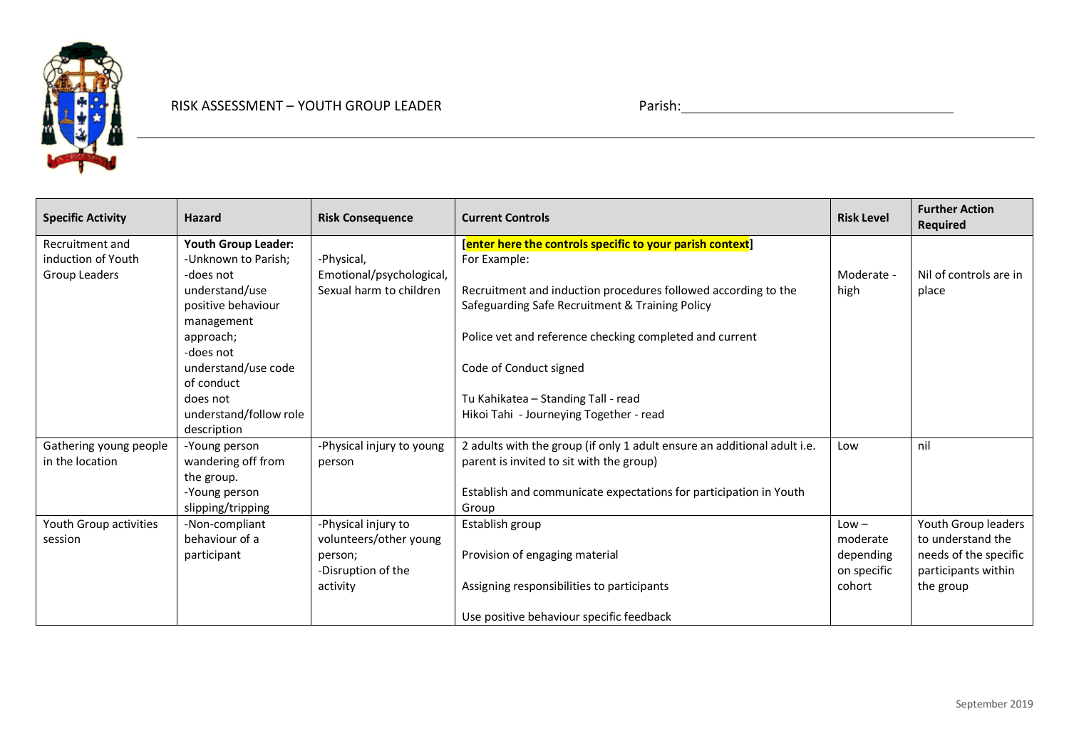

| <b>Specific Activity</b> | <b>Hazard</b>                      | <b>Risk Consequence</b>   | <b>Current Controls</b>                                                    | <b>Risk Level</b> | <b>Further Action</b><br><b>Required</b> |
|--------------------------|------------------------------------|---------------------------|----------------------------------------------------------------------------|-------------------|------------------------------------------|
| Recruitment and          | <b>Youth Group Leader:</b>         |                           | [enter here the controls specific to your parish context]                  |                   |                                          |
| induction of Youth       | -Unknown to Parish;                | -Physical,                | For Example:                                                               |                   |                                          |
| Group Leaders            | -does not                          | Emotional/psychological,  |                                                                            | Moderate -        | Nil of controls are in                   |
|                          | understand/use                     | Sexual harm to children   | Recruitment and induction procedures followed according to the             | high              | place                                    |
|                          | positive behaviour                 |                           | Safeguarding Safe Recruitment & Training Policy                            |                   |                                          |
|                          | management                         |                           |                                                                            |                   |                                          |
|                          | approach;                          |                           | Police vet and reference checking completed and current                    |                   |                                          |
|                          | -does not                          |                           |                                                                            |                   |                                          |
|                          | understand/use code                |                           | Code of Conduct signed                                                     |                   |                                          |
|                          | of conduct                         |                           |                                                                            |                   |                                          |
|                          | does not                           |                           | Tu Kahikatea - Standing Tall - read                                        |                   |                                          |
|                          | understand/follow role             |                           | Hikoi Tahi - Journeying Together - read                                    |                   |                                          |
|                          | description                        |                           |                                                                            |                   |                                          |
| Gathering young people   | -Young person                      | -Physical injury to young | 2 adults with the group (if only 1 adult ensure an additional adult i.e.   | Low               | nil                                      |
| in the location          | wandering off from                 | person                    | parent is invited to sit with the group)                                   |                   |                                          |
|                          | the group.                         |                           |                                                                            |                   |                                          |
|                          | -Young person<br>slipping/tripping |                           | Establish and communicate expectations for participation in Youth<br>Group |                   |                                          |
| Youth Group activities   | -Non-compliant                     | -Physical injury to       | Establish group                                                            | $Low -$           | Youth Group leaders                      |
| session                  | behaviour of a                     | volunteers/other young    |                                                                            | moderate          | to understand the                        |
|                          | participant                        | person;                   | Provision of engaging material                                             | depending         | needs of the specific                    |
|                          |                                    | -Disruption of the        |                                                                            | on specific       | participants within                      |
|                          |                                    | activity                  | Assigning responsibilities to participants                                 | cohort            | the group                                |
|                          |                                    |                           |                                                                            |                   |                                          |
|                          |                                    |                           | Use positive behaviour specific feedback                                   |                   |                                          |

<u> 1989 - Johann Stoff, Amerikaansk politiker († 1908)</u>